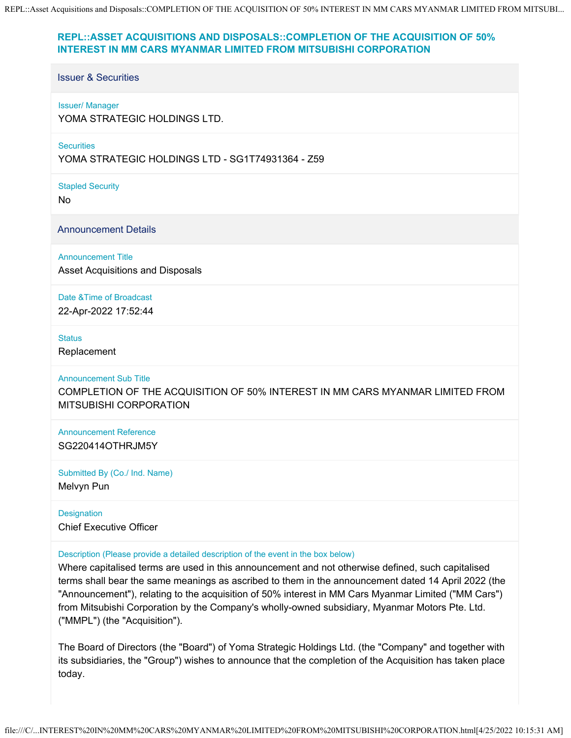# **REPL::ASSET ACQUISITIONS AND DISPOSALS::COMPLETION OF THE ACQUISITION OF 50% INTEREST IN MM CARS MYANMAR LIMITED FROM MITSUBISHI CORPORATION**

# Issuer & Securities

### Issuer/ Manager

YOMA STRATEGIC HOLDINGS LTD.

#### **Securities**

YOMA STRATEGIC HOLDINGS LTD - SG1T74931364 - Z59

Stapled Security

No

Announcement Details

Announcement Title

Asset Acquisitions and Disposals

Date &Time of Broadcast

22-Apr-2022 17:52:44

### **Status**

Replacement

### Announcement Sub Title

COMPLETION OF THE ACQUISITION OF 50% INTEREST IN MM CARS MYANMAR LIMITED FROM MITSUBISHI CORPORATION

Announcement Reference SG220414OTHRJM5Y

Submitted By (Co./ Ind. Name)

Melvyn Pun

**Designation** Chief Executive Officer

# Description (Please provide a detailed description of the event in the box below)

Where capitalised terms are used in this announcement and not otherwise defined, such capitalised terms shall bear the same meanings as ascribed to them in the announcement dated 14 April 2022 (the "Announcement"), relating to the acquisition of 50% interest in MM Cars Myanmar Limited ("MM Cars") from Mitsubishi Corporation by the Company's wholly-owned subsidiary, Myanmar Motors Pte. Ltd. ("MMPL") (the "Acquisition").

The Board of Directors (the "Board") of Yoma Strategic Holdings Ltd. (the "Company" and together with its subsidiaries, the "Group") wishes to announce that the completion of the Acquisition has taken place today.